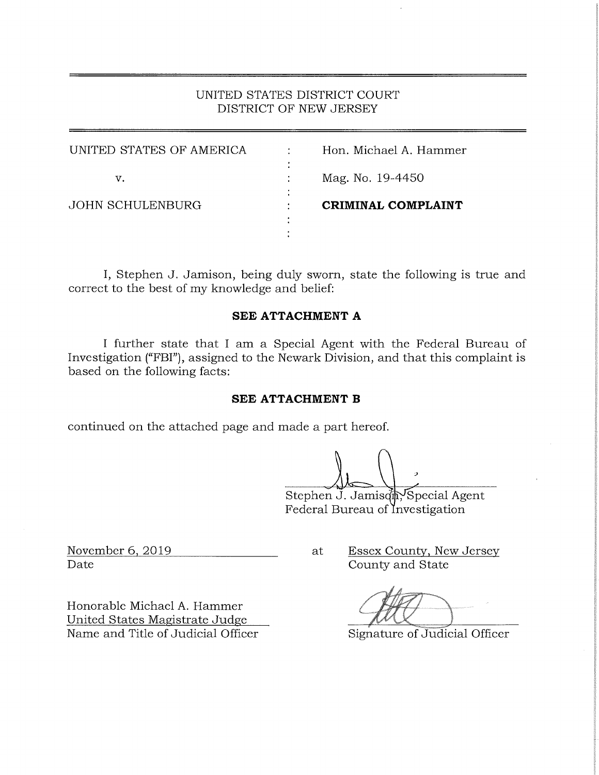# UNITED STATES DISTRICT COURT DISTRICT OF NEW JERSEY

| UNITED STATES OF AMERICA |           | Hon. Michael A. Hammer |
|--------------------------|-----------|------------------------|
| v.                       | ۰<br>٠    | Mag. No. 19-4450       |
| JOHN SCHULENBURG         | $\bullet$ | CRIMINAL COMPLAINT     |
|                          | ٠         |                        |

I, Stephen J. Jamison, being duly sworn, state the following is true and correct to the best of my knowledge and belief:

## **SEE ATTACHMENT A**

I further state that I am a Special Agent with the Federal Bureau of Investigation ("FBI"), assigned to the Newark Division, and that this complaint is based on the following facts:

### **SEE ATTACHMENT B**

continued on the attached page and made a part hereof.

:)

Stephen J. Jamison, Special Agent Federal Bureau of Investigation

November 6, 2019 Date

at Essex County, New Jersey County and State

Signature of Judicial Officer

Honorable Michael A. Hammer United States Magistrate Judge Name and Title of Judicial Officer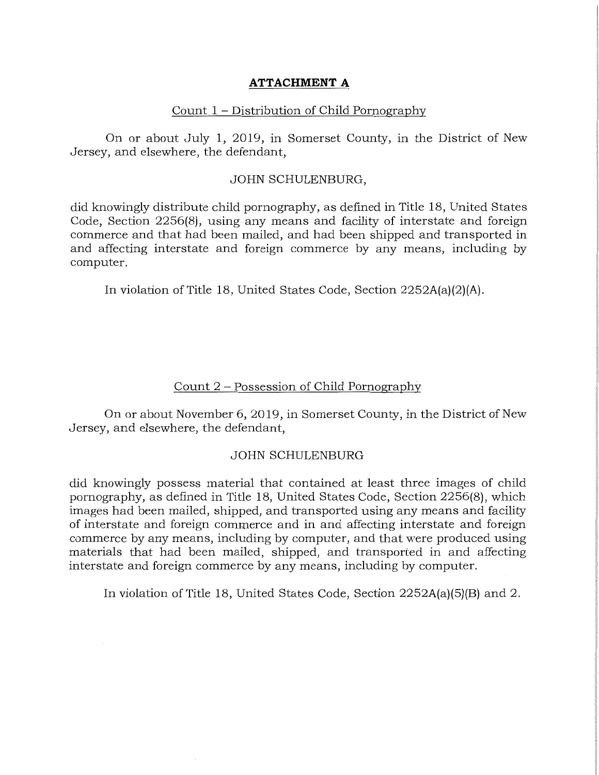## **ATTACHMENT A**

### Count 1 - Distribution of Child Pornography

On or about July 1, 2019, in Somerset County, in the District of New Jersey, and elsewhere, the defendant,

#### JOHN SCHULENBURG,

did knowingly distribute child pornography, as defined in Title 18, United States Code, Section 2256(8), using any means and facility of interstate and foreign commerce and that had been mailed, and had been shipped and transported in and affecting interstate and foreign commerce by any means, including by computer.

In violation of Title 18, United States Code, Section 2252A(a)(2)(A).

### Count 2 - Possession of Child Pornography

On or about November 6, 2019, in Somerset County, in the District of New Jersey, and elsewhere, the defendant,

#### JOHN SCHULENBURG

did knowingly possess material that contained at least three images of child pornography, as defined in Title 18, United States Code, Section 2256(8), which images had been mailed, shipped, and transported using any means and facility of interstate and foreign commerce and in and affecting interstate and foreign commerce by any means, including by computer, and that were produced using materials that had been mailed, shipped, and transported in and affecting interstate and foreign commerce by any means, including by computer.

In violation of Title 18, United States Code, Section 2252A(a)(5)(B) and 2.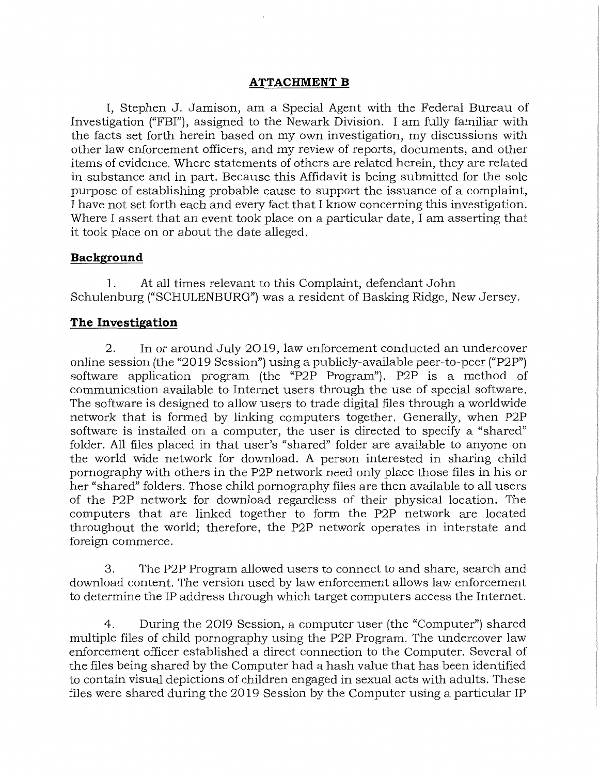### **ATTACHMENT B**

I, Stephen J. Jamison, am a Special Agent with the Federal Bureau of Investigation ("FBI"), assigned to the Newark Division. I am fully familiar with the facts set forth herein based on my own investigation, my discussions with other law enforcement officers, and my review of reports, documents, and other items of evidence. Where statements of others are related herein, they are related in substance and in part. Because this Affidavit is being submitted for the sole purpose of establishing probable cause to support the issuance of a complaint, I have not set forth each and every fact that I know concerning this investigation. Where I assert that an event took place on a particular date, I am asserting that it took place on or about the date alleged.

## **Background**

1. At all times relevant to this Complaint, defendant John Schulenburg ("SCHULENBURG") was a resident of Basking Ridge, New Jersey.

## **The Investigation**

2. In or around July 2019, law enforcement conducted an undercover online session (the "2019 Session") using a publicly-available peer-to-peer ("P2P") software application program (the "P2P Program"). P2P is a method of communication available to Internet users through the use of special software. The software is designed to allow users to trade digital files through a worldwide network that is formed by linking computers together. Generally, when P2P software is installed on a computer, the user is directed to specify a "shared" folder. All files placed in that user's "shared" folder are available to anyone on the world wide network for download. A person interested in sharing child pornography with others in the P2P network need only place those files in his or her "shared" folders. Those child pornography files are then available to all users of the P2P network for download regardless of their physical location. The computers that are linked together to form the P2P network are located throughout the world; therefore, the P2P network operates in interstate and foreign commerce.

3. The P2P Program allowed users to connect to and share, search and download content. The version used by law enforcement allows law enforcement to determine the IP address through which target computers access the Internet.

4. During the 2019 Session, a computer user (the "Computer") shared multiple files of child pornography using the P2P Program. The undercover law enforcement officer established a direct connection to the Computer. Several of the files being shared by the Computer had a hash value that has been identified to contain visual depictions of children engaged in sexual acts with adults. These files were shared during the 2019 Session by the Computer using a particular IP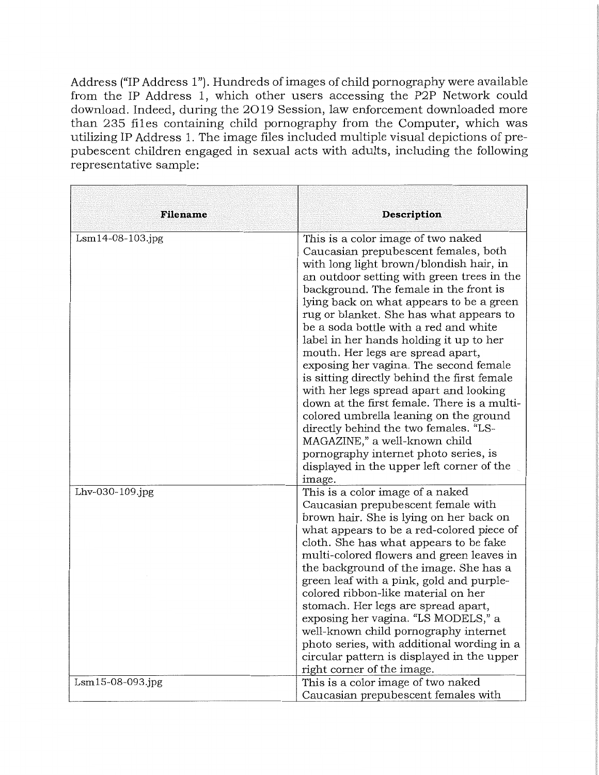Address ("IP Address 1"). Hundreds of images of child pornography were available from the IP Address 1, which other users accessing the P2P Network could download. Indeed, during the 2019 Session, law enforcement downloaded more than 235 files containing child pornography from the Computer, which was utilizing IP Address 1. The image files included multiple visual depictions of prepubescent children engaged in sexual acts with adults, including the following representative sample:

| <b>Filename</b>    | Description                                                                                                                                                                                                                                                                                                                                                                                                                                                                                                                                                                                                                                                                                                                                                                                                                         |
|--------------------|-------------------------------------------------------------------------------------------------------------------------------------------------------------------------------------------------------------------------------------------------------------------------------------------------------------------------------------------------------------------------------------------------------------------------------------------------------------------------------------------------------------------------------------------------------------------------------------------------------------------------------------------------------------------------------------------------------------------------------------------------------------------------------------------------------------------------------------|
| $Lsm14-08-103.jpg$ | This is a color image of two naked<br>Caucasian prepubescent females, both<br>with long light brown/blondish hair, in<br>an outdoor setting with green trees in the<br>background. The female in the front is<br>lying back on what appears to be a green<br>rug or blanket. She has what appears to<br>be a soda bottle with a red and white<br>label in her hands holding it up to her<br>mouth. Her legs are spread apart,<br>exposing her vagina. The second female<br>is sitting directly behind the first female<br>with her legs spread apart and looking<br>down at the first female. There is a multi-<br>colored umbrella leaning on the ground<br>directly behind the two females. "LS-<br>MAGAZINE," a well-known child<br>pornography internet photo series, is<br>displayed in the upper left corner of the<br>image. |
| Lhv-030-109.jpg    | This is a color image of a naked<br>Caucasian prepubescent female with<br>brown hair. She is lying on her back on<br>what appears to be a red-colored piece of<br>cloth. She has what appears to be fake<br>multi-colored flowers and green leaves in<br>the background of the image. She has a<br>green leaf with a pink, gold and purple-<br>colored ribbon-like material on her<br>stomach. Her legs are spread apart,<br>exposing her vagina. "LS MODELS," a<br>well-known child pornography internet<br>photo series, with additional wording in a<br>circular pattern is displayed in the upper<br>right corner of the image.                                                                                                                                                                                                 |
| $Lsm15-08-093.jpg$ | This is a color image of two naked<br>Caucasian prepubescent females with                                                                                                                                                                                                                                                                                                                                                                                                                                                                                                                                                                                                                                                                                                                                                           |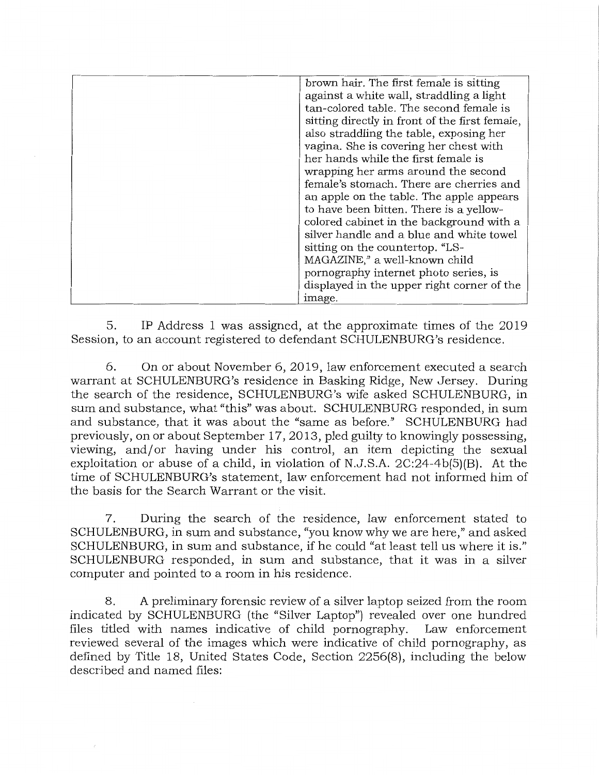| brown hair. The first female is sitting        |
|------------------------------------------------|
| against a white wall, straddling a light       |
| tan-colored table. The second female is        |
| sitting directly in front of the first female, |
| also straddling the table, exposing her        |
| vagina. She is covering her chest with         |
| her hands while the first female is            |
| wrapping her arms around the second            |
| female's stomach. There are cherries and       |
| an apple on the table. The apple appears       |
| to have been bitten. There is a yellow-        |
| colored cabinet in the background with a       |
| silver handle and a blue and white towel       |
| sitting on the countertop. "LS-                |
| MAGAZINE," a well-known child                  |
| pornography internet photo series, is          |
| displayed in the upper right corner of the     |
| image.                                         |

5. IP Address 1 was assigned, at the approximate times of the 2019 Session, to an account registered to defendant SCHULENBURG's residence.

6. On or about November 6, 2019, law enforcement executed a search warrant at SCHULENBURG's residence in Basking Ridge, New Jersey. During the search of the residence, SCHULENBURG's wife asked SCHULENBURG, in sum and substance, what "this" was about. SCHULENBURG responded, in sum and substance, that it was about the "same as before." SCHULENBURG had previously, on or about September 17, 2013, pled guilty to knowingly possessing, viewing, and/or having under his control, an item depicting the sexual exploitation or abuse of a child, in violation of N.J.S.A. 2C:24-4b(5)(B). At the time of SCHULENBURG's statement, law enforcement had not informed him of the basis for the Search Warrant or the visit.

7. During the search of the residence, law enforcement stated to SCHULENBURG, in sum and substance, "you know why we are here," and asked SCHULENBURG, in sum and substance, if he could "at least tell us where it is." SCHULENBURG responded, in sum and substance, that it was in a silver computer and pointed to a room in his residence.

8. A preliminary forensic review of a silver laptop seized from the room indicated by SCHULENBURG (the "Silver Laptop") revealed over one hundred files titled with names indicative of child pornography. Law enforcement reviewed several of the images which were indicative of child pornography, as defined by Title 18, United States Code, Section 2256(8), including the below described and named files: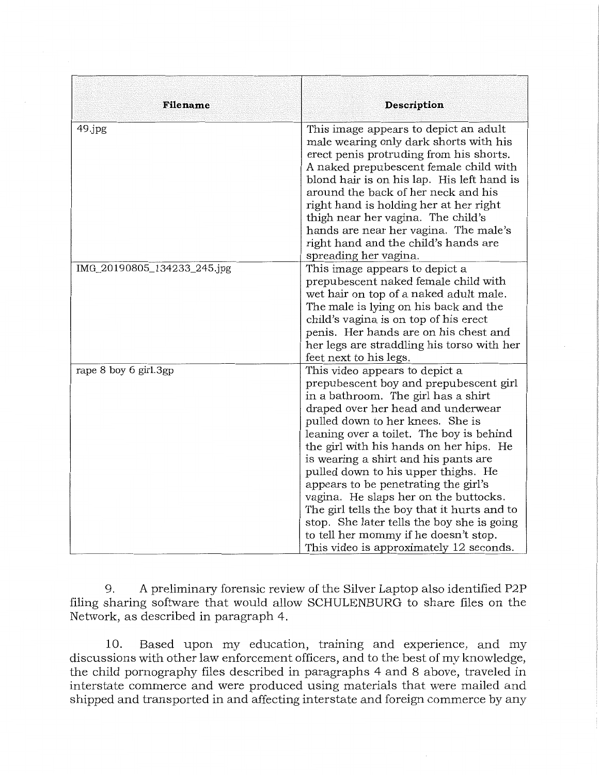| <b>Filename</b>             | Description                                                                                                                                                                                                                                                                                                                                                                                                                                                                                                                                                                                                                       |
|-----------------------------|-----------------------------------------------------------------------------------------------------------------------------------------------------------------------------------------------------------------------------------------------------------------------------------------------------------------------------------------------------------------------------------------------------------------------------------------------------------------------------------------------------------------------------------------------------------------------------------------------------------------------------------|
| 49.jpg                      | This image appears to depict an adult<br>male wearing only dark shorts with his<br>erect penis protruding from his shorts.<br>A naked prepubescent female child with<br>blond hair is on his lap. His left hand is<br>around the back of her neck and his<br>right hand is holding her at her right<br>thigh near her vagina. The child's<br>hands are near her vagina. The male's<br>right hand and the child's hands are<br>spreading her vagina.                                                                                                                                                                               |
| IMG_20190805_134233_245.jpg | This image appears to depict a<br>prepubescent naked female child with<br>wet hair on top of a naked adult male.<br>The male is lying on his back and the<br>child's vagina is on top of his erect<br>penis. Her hands are on his chest and<br>her legs are straddling his torso with her<br>feet next to his legs.                                                                                                                                                                                                                                                                                                               |
| rape 8 boy 6 girl.3gp       | This video appears to depict a<br>prepubescent boy and prepubescent girl<br>in a bathroom. The girl has a shirt<br>draped over her head and underwear<br>pulled down to her knees. She is<br>leaning over a toilet. The boy is behind<br>the girl with his hands on her hips. He<br>is wearing a shirt and his pants are<br>pulled down to his upper thighs. He<br>appears to be penetrating the girl's<br>vagina. He slaps her on the buttocks.<br>The girl tells the boy that it hurts and to<br>stop. She later tells the boy she is going<br>to tell her mommy if he doesn't stop.<br>This video is approximately 12 seconds. |

9. A preliminary forensic review of the Silver Laptop also identified P2P filing sharing software that would allow SCHULENBURG to share files on the Network, as described in paragraph 4.

10. Based upon my education, training and experience, and my discussions with other law enforcement officers, and to the best of my knowledge, the child pornography files described in paragraphs 4 and 8 above, traveled in interstate commerce and were produced using materials that were mailed and shipped and transported in and affecting interstate and foreign commerce by any